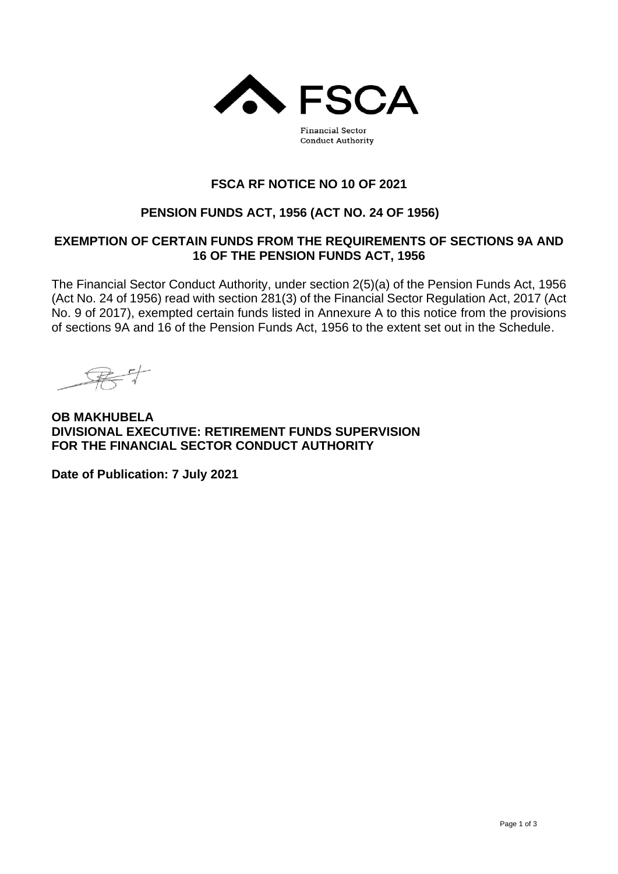

**Financial Sector Conduct Authority** 

# **FSCA RF NOTICE NO 10 OF 2021**

# **PENSION FUNDS ACT, 1956 (ACT NO. 24 OF 1956)**

## **EXEMPTION OF CERTAIN FUNDS FROM THE REQUIREMENTS OF SECTIONS 9A AND 16 OF THE PENSION FUNDS ACT, 1956**

The Financial Sector Conduct Authority, under section 2(5)(a) of the Pension Funds Act, 1956 (Act No. 24 of 1956) read with section 281(3) of the Financial Sector Regulation Act, 2017 (Act No. 9 of 2017), exempted certain funds listed in Annexure A to this notice from the provisions of sections 9A and 16 of the Pension Funds Act, 1956 to the extent set out in the Schedule.

**OB MAKHUBELA DIVISIONAL EXECUTIVE: RETIREMENT FUNDS SUPERVISION FOR THE FINANCIAL SECTOR CONDUCT AUTHORITY**

**Date of Publication: 7 July 2021**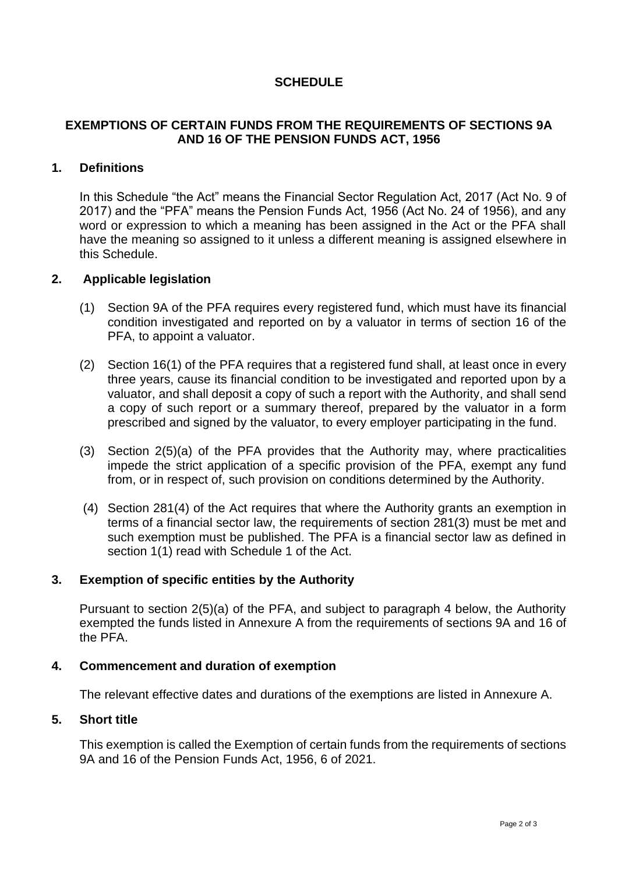## **SCHEDULE**

## **EXEMPTIONS OF CERTAIN FUNDS FROM THE REQUIREMENTS OF SECTIONS 9A AND 16 OF THE PENSION FUNDS ACT, 1956**

## **1. Definitions**

In this Schedule "the Act" means the Financial Sector Regulation Act, 2017 (Act No. 9 of 2017) and the "PFA" means the Pension Funds Act, 1956 (Act No. 24 of 1956), and any word or expression to which a meaning has been assigned in the Act or the PFA shall have the meaning so assigned to it unless a different meaning is assigned elsewhere in this Schedule.

#### **2. Applicable legislation**

- (1) Section 9A of the PFA requires every registered fund, which must have its financial condition investigated and reported on by a valuator in terms of section 16 of the PFA, to appoint a valuator.
- (2) Section 16(1) of the PFA requires that a registered fund shall, at least once in every three years, cause its financial condition to be investigated and reported upon by a valuator, and shall deposit a copy of such a report with the Authority, and shall send a copy of such report or a summary thereof, prepared by the valuator in a form prescribed and signed by the valuator, to every employer participating in the fund.
- (3) Section 2(5)(a) of the PFA provides that the Authority may, where practicalities impede the strict application of a specific provision of the PFA, exempt any fund from, or in respect of, such provision on conditions determined by the Authority.
- (4) Section 281(4) of the Act requires that where the Authority grants an exemption in terms of a financial sector law, the requirements of section 281(3) must be met and such exemption must be published. The PFA is a financial sector law as defined in section 1(1) read with Schedule 1 of the Act.

## **3. Exemption of specific entities by the Authority**

Pursuant to section 2(5)(a) of the PFA, and subject to paragraph 4 below, the Authority exempted the funds listed in Annexure A from the requirements of sections 9A and 16 of the PFA.

#### **4. Commencement and duration of exemption**

The relevant effective dates and durations of the exemptions are listed in Annexure A.

#### **5. Short title**

This exemption is called the Exemption of certain funds from the requirements of sections 9A and 16 of the Pension Funds Act, 1956, 6 of 2021.